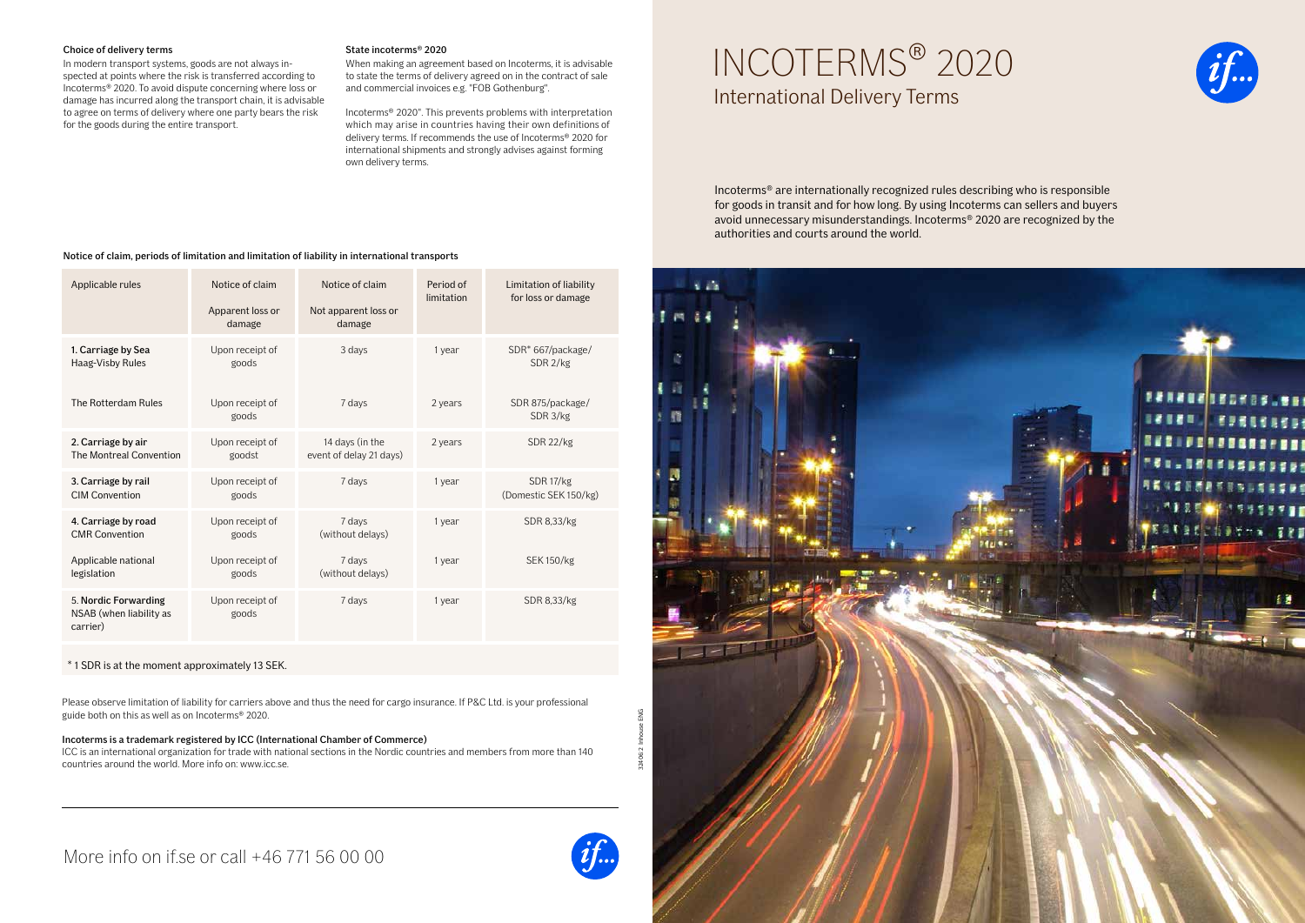## Choice of delivery terms State incoterms<sup>®</sup> 2020

Incoterms® 2020. To avoid dispute concerning where loss or Incoterms® 2020. To avoid dispute concerning where loss or and commercial invoices e.g. "FOB Gothenburg".<br>
damage has incurred along the transport chain, it is advisable<br>
to agree on terms of delivery where one party bears

In modern transport systems, goods are not always in-<br>
When making an agreement based on Incoterms, it is advisable

for the goods during the entire transport.  $\blacksquare$  which may arise in countries having their own definitions of Incoterms® 2020". This prevents problems with interpretation delivery terms. If recommends the use of Incoterms® 2020 for international shipments and strongly advises against forming own delivery terms.

# Choice of delivery terms<br>
In modern transport systems, goods are not always in-<br>
spected at points where the risk is transferred according to<br>
Incoterms® 2020. To avoid dispute concerning where loss or and commercial invoi

Incoterms® are internationally recognized rules describing who is responsible for goods in transit and for how long. By using Incoterms can sellers and buyers avoid unnecessary misunderstandings. Incoterms® 2020 are recognized by the authorities and courts around the world.

Notice of claim, periods of limitation and limitation of liability in international transports

| Applicable rules                                            | Notice of claim<br>Apparent loss or<br>damage | Notice of claim<br>Not apparent loss or<br>damage | Period of<br>limitation | Limitation of liability<br>for loss or damage |
|-------------------------------------------------------------|-----------------------------------------------|---------------------------------------------------|-------------------------|-----------------------------------------------|
| 1. Carriage by Sea<br>Haag-Visby Rules                      | Upon receipt of<br>goods                      | 3 days                                            | 1 year                  | SDR* 667/package/<br>SDR 2/kg                 |
| The Rotterdam Rules                                         | Upon receipt of<br>goods                      | 7 days                                            | 2 years                 | SDR 875/package/<br>SDR 3/kg                  |
| 2. Carriage by air<br>The Montreal Convention               | Upon receipt of<br>goodst                     | 14 days (in the<br>event of delay 21 days)        | 2 years                 | SDR 22/kg                                     |
| 3. Carriage by rail<br><b>CIM Convention</b>                | Upon receipt of<br>goods                      | 7 days                                            | 1 year                  | SDR 17/kg<br>(Domestic SEK 150/kg)            |
| 4. Carriage by road<br><b>CMR Convention</b>                | Upon receipt of<br>goods                      | 7 days<br>(without delays)                        | 1 year                  | SDR 8,33/kg                                   |
| Applicable national<br>legislation                          | Upon receipt of<br>goods                      | 7 days<br>(without delays)                        | 1 year                  | <b>SEK150/kg</b>                              |
| 5. Nordic Forwarding<br>NSAB (when liability as<br>carrier) | Upon receipt of<br>goods                      | 7 days                                            | 1 year                  | SDR 8,33/kg                                   |

\* 1 SDR is at the moment approximately 13 SEK.

Please observe limitation of liability for carriers above and thus the need for cargo insurance. If P&C Ltd. is your professional guide both on this as well as on Incoterms® 2020.

# Incoterms is a trademark registered by ICC (International Chamber of Commerce)

ICC is an international organization for trade with national sections in the Nordic countries and members from more than 140 countries around the world. More info on: www.icc.se.







if.